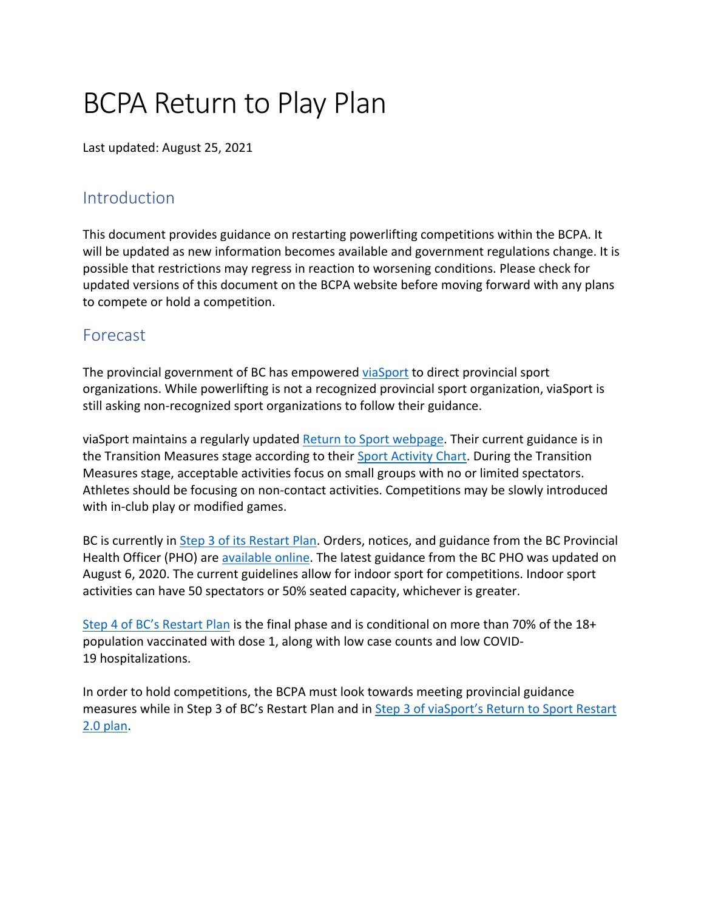# BCPA Return to Play Plan

Last updated: August 25, 2021

## **Introduction**

This document provides guidance on restarting powerlifting competitions within the BCPA. It will be updated as new information becomes available and government regulations change. It is possible that restrictions may regress in reaction to worsening conditions. Please check for updated versions of this document on the BCPA website before moving forward with any plans to compete or hold a competition.

## Forecast

The provincial government of BC has empowered viaSport to direct provincial sport organizations. While powerlifting is not a recognized provincial sport organization, viaSport is still asking non-recognized sport organizations to follow their guidance.

viaSport maintains a regularly updated Return to Sport webpage. Their current guidance is in the Transition Measures stage according to their Sport Activity Chart. During the Transition Measures stage, acceptable activities focus on small groups with no or limited spectators. Athletes should be focusing on non-contact activities. Competitions may be slowly introduced with in-club play or modified games.

BC is currently in Step 3 of its Restart Plan. Orders, notices, and guidance from the BC Provincial Health Officer (PHO) are available online. The latest guidance from the BC PHO was updated on August 6, 2020. The current guidelines allow for indoor sport for competitions. Indoor sport activities can have 50 spectators or 50% seated capacity, whichever is greater.

Step 4 of BC's Restart Plan is the final phase and is conditional on more than 70% of the 18+ population vaccinated with dose 1, along with low case counts and low COVID-19 hospitalizations.

In order to hold competitions, the BCPA must look towards meeting provincial guidance measures while in Step 3 of BC's Restart Plan and in Step 3 of viaSport's Return to Sport Restart 2.0 plan.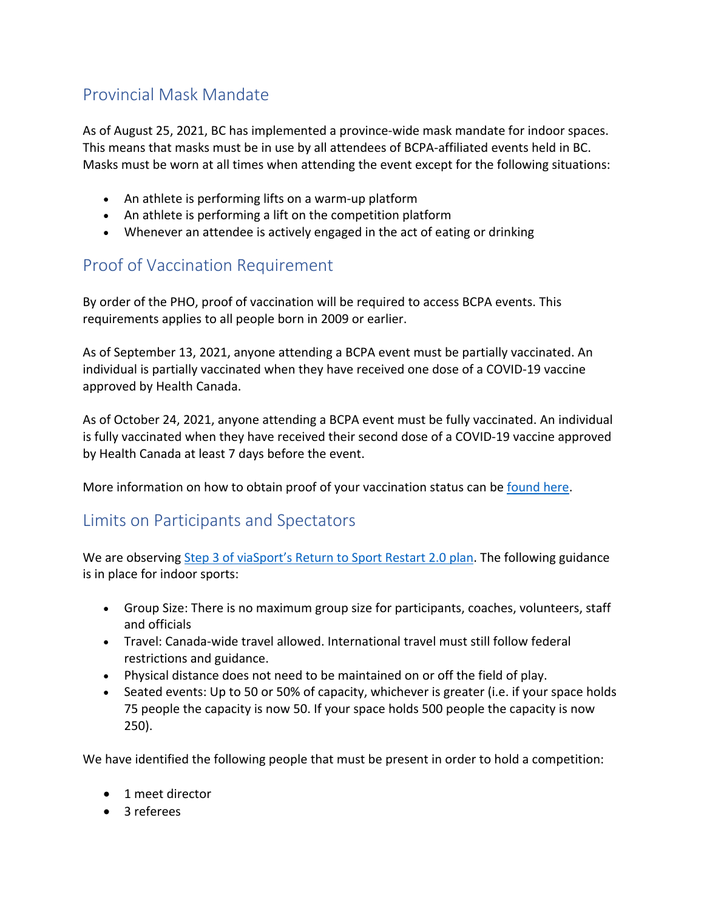# Provincial Mask Mandate

As of August 25, 2021, BC has implemented a province-wide mask mandate for indoor spaces. This means that masks must be in use by all attendees of BCPA-affiliated events held in BC. Masks must be worn at all times when attending the event except for the following situations:

- An athlete is performing lifts on a warm-up platform
- An athlete is performing a lift on the competition platform
- Whenever an attendee is actively engaged in the act of eating or drinking

# Proof of Vaccination Requirement

By order of the PHO, proof of vaccination will be required to access BCPA events. This requirements applies to all people born in 2009 or earlier.

As of September 13, 2021, anyone attending a BCPA event must be partially vaccinated. An individual is partially vaccinated when they have received one dose of a COVID-19 vaccine approved by Health Canada.

As of October 24, 2021, anyone attending a BCPA event must be fully vaccinated. An individual is fully vaccinated when they have received their second dose of a COVID-19 vaccine approved by Health Canada at least 7 days before the event.

More information on how to obtain proof of your vaccination status can be found here.

## Limits on Participants and Spectators

We are observing Step 3 of viaSport's Return to Sport Restart 2.0 plan. The following guidance is in place for indoor sports:

- Group Size: There is no maximum group size for participants, coaches, volunteers, staff and officials
- Travel: Canada-wide travel allowed. International travel must still follow federal restrictions and guidance.
- Physical distance does not need to be maintained on or off the field of play.
- Seated events: Up to 50 or 50% of capacity, whichever is greater (i.e. if your space holds 75 people the capacity is now 50. If your space holds 500 people the capacity is now 250).

We have identified the following people that must be present in order to hold a competition:

- 1 meet director
- 3 referees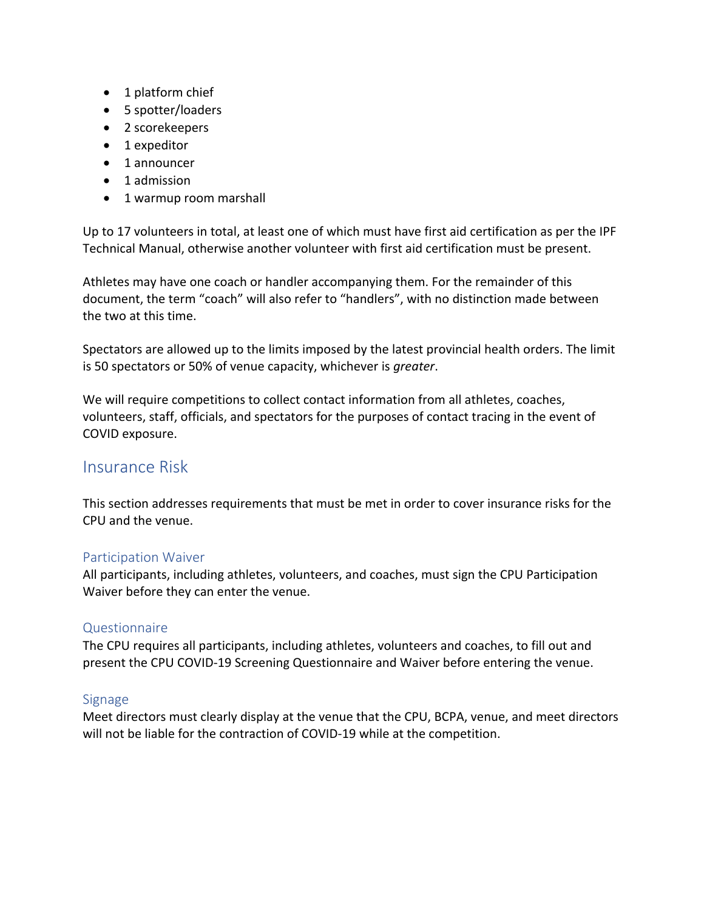- 1 platform chief
- 5 spotter/loaders
- 2 scorekeepers
- 1 expeditor
- 1 announcer
- 1 admission
- 1 warmup room marshall

Up to 17 volunteers in total, at least one of which must have first aid certification as per the IPF Technical Manual, otherwise another volunteer with first aid certification must be present.

Athletes may have one coach or handler accompanying them. For the remainder of this document, the term "coach" will also refer to "handlers", with no distinction made between the two at this time.

Spectators are allowed up to the limits imposed by the latest provincial health orders. The limit is 50 spectators or 50% of venue capacity, whichever is *greater*.

We will require competitions to collect contact information from all athletes, coaches, volunteers, staff, officials, and spectators for the purposes of contact tracing in the event of COVID exposure.

## Insurance Risk

This section addresses requirements that must be met in order to cover insurance risks for the CPU and the venue.

### Participation Waiver

All participants, including athletes, volunteers, and coaches, must sign the CPU Participation Waiver before they can enter the venue.

### Questionnaire

The CPU requires all participants, including athletes, volunteers and coaches, to fill out and present the CPU COVID-19 Screening Questionnaire and Waiver before entering the venue.

## Signage

Meet directors must clearly display at the venue that the CPU, BCPA, venue, and meet directors will not be liable for the contraction of COVID-19 while at the competition.